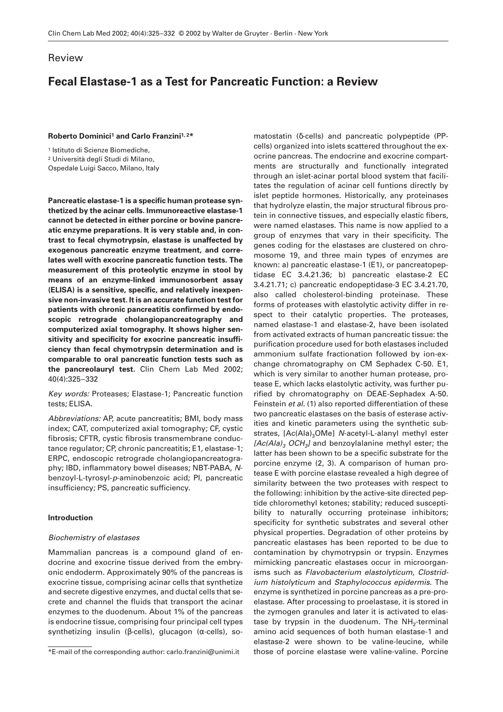# Review

# **Fecal Elastase-1 as a Test for Pancreatic Function: a Review**

**Roberto Dominici1 and Carlo Franzini1, 2\***

<sup>1</sup> Istituto di Scienze Biomediche,

<sup>2</sup> Università degli Studi di Milano,

Ospedale Luigi Sacco, Milano, Italy

**Pancreatic elastase-1 is a specific human protease synthetized by the acinar cells. Immunoreactive elastase-1 cannot be detected in either porcine or bovine pancreatic enzyme preparations. It is very stable and, in contrast to fecal chymotrypsin, elastase is unaffected by exogenous pancreatic enzyme treatment, and correlates well with exocrine pancreatic function tests. The measurement of this proteolytic enzyme in stool by means of an enzyme-linked immunosorbent assay (ELISA) is a sensitive, specific, and relatively inexpensive non-invasive test. It is an accurate function test for patients with chronic pancreatitis confirmed by endoscopic retrograde cholangiopancreatography and computerized axial tomography. It shows higher sensitivity and specificity for exocrine pancreatic insufficiency than fecal chymotrypsin determination and is comparable to oral pancreatic function tests such as the pancreolauryl test.** Clin Chem Lab Med 2002; 40(4):325–332

*Key words:* Proteases; Elastase-1; Pancreatic function tests; ELISA.

*Abbreviations:* AP, acute pancreatitis; BMI, body mass index; CAT, computerized axial tomography; CF, cystic fibrosis; CFTR, cystic fibrosis transmembrane conductance regulator; CP, chronic pancreatitis; E1, elastase-1; ERPC, endoscopic retrograde cholangiopancreatography; IBD, inflammatory bowel diseases; NBT-PABA, *N*benzoyl-L-tyrosyl-*p*-aminobenzoic acid; PI, pancreatic insufficiency; PS, pancreatic sufficiency.

# **Introduction**

#### *Biochemistry of elastases*

Mammalian pancreas is a compound gland of endocrine and exocrine tissue derived from the embryonic endoderm. Approximately 90% of the pancreas is exocrine tissue, comprising acinar cells that synthetize and secrete digestive enzymes, and ductal cells that secrete and channel the fluids that transport the acinar enzymes to the duodenum. About 1% of the pancreas is endocrine tissue, comprising four principal cell types synthetizing insulin (β-cells), glucagon (α-cells), so-

matostatin (δ-cells) and pancreatic polypeptide (PPcells) organized into islets scattered throughout the exocrine pancreas. The endocrine and exocrine compartments are structurally and functionally integrated through an islet-acinar portal blood system that facilitates the regulation of acinar cell funtions directly by islet peptide hormones. Historically, any proteinases that hydrolyze elastin, the major structural fibrous protein in connective tissues, and especially elastic fibers, were named elastases. This name is now applied to a group of enzymes that vary in their specificity. The genes coding for the elastases are clustered on chromosome 19, and three main types of enzymes are known: a) pancreatic elastase-1 (E1), or pancreatopeptidase EC 3.4.21.36; b) pancreatic elastase-2 EC 3.4.21.71; c) pancreatic endopeptidase-3 EC 3.4.21.70, also called cholesterol-binding proteinase. These forms of proteases with elastolytic activity differ in respect to their catalytic properties. The proteases, named elastase-1 and elastase-2, have been isolated from activated extracts of human pancreatic tissue: the purification procedure used for both elastases included ammonium sulfate fractionation followed by ion-exchange chromatography on CM Sephadex C-50. E1, which is very similar to another human protease, protease E, which lacks elastolytic activity, was further purified by chromatography on DEAE-Sephadex A-50. Feinstein *et al.* (1) also reported differentiation of these two pancreatic elastases on the basis of esterase activities and kinetic parameters using the synthetic substrates, [Ac(Ala)<sub>3</sub>OMe] *N*-acetyl-L-alanyl methyl ester *[Ac(Ala)3 OCH3]* and benzoylalanine methyl ester; the latter has been shown to be a specific substrate for the porcine enzyme (2, 3). A comparison of human protease E with porcine elastase revealed a high degree of similarity between the two proteases with respect to the following: inhibition by the active-site directed peptide chloromethyl ketones; stability; reduced susceptibility to naturally occurring proteinase inhibitors; specificity for synthetic substrates and several other physical properties. Degradation of other proteins by pancreatic elastases has been reported to be due to contamination by chymotrypsin or trypsin. Enzymes mimicking pancreatic elastases occur in microorganisms such as *Flavobacterium elastolyticum, Clostridium histolyticum* and *Staphylococcus epidermis*. The enzyme is synthetized in porcine pancreas as a pre-proelastase. After processing to proelastase, it is stored in the zymogen granules and later it is activated to elastase by trypsin in the duodenum. The  $NH<sub>2</sub>$ -terminal amino acid sequences of both human elastase-1 and elastase-2 were shown to be valine-leucine, while \*E-mail of the corresponding author: carlo.franzini@unimi.it those of porcine elastase were valine-valine. Porcine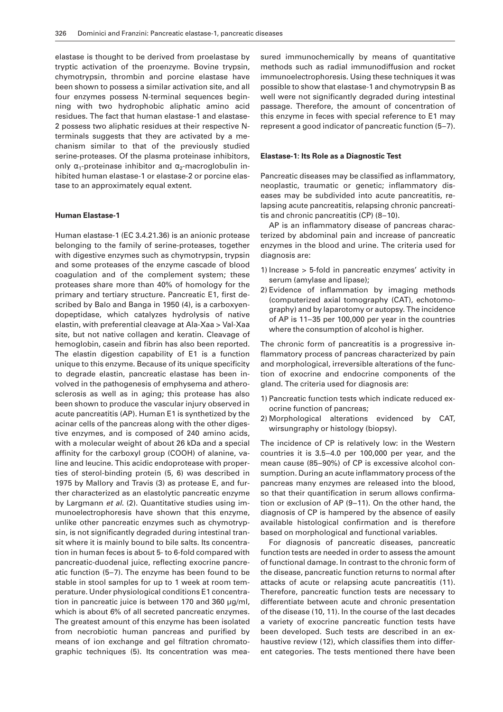elastase is thought to be derived from proelastase by tryptic activation of the proenzyme. Bovine trypsin, chymotrypsin, thrombin and porcine elastase have been shown to possess a similar activation site, and all four enzymes possess N-terminal sequences beginning with two hydrophobic aliphatic amino acid residues. The fact that human elastase-1 and elastase-2 possess two aliphatic residues at their respective Nterminals suggests that they are activated by a mechanism similar to that of the previously studied serine-proteases. Of the plasma proteinase inhibitors, only  $\alpha_1$ -proteinase inhibitor and  $\alpha_2$ -macroglobulin inhibited human elastase-1 or elastase-2 or porcine elastase to an approximately equal extent.

#### **Human Elastase-1**

Human elastase-1 (EC 3.4.21.36) is an anionic protease belonging to the family of serine-proteases, together with digestive enzymes such as chymotrypsin, trypsin and some proteases of the enzyme cascade of blood coagulation and of the complement system; these proteases share more than 40% of homology for the primary and tertiary structure. Pancreatic E1, first described by Balo and Banga in 1950 (4), is a carboxyendopeptidase, which catalyzes hydrolysis of native elastin, with preferential cleavage at Ala-Xaa > Val-Xaa site, but not native collagen and keratin. Cleavage of hemoglobin, casein and fibrin has also been reported. The elastin digestion capability of E1 is a function unique to this enzyme. Because of its unique specificity to degrade elastin, pancreatic elastase has been involved in the pathogenesis of emphysema and atherosclerosis as well as in aging; this protease has also been shown to produce the vascular injury observed in acute pancreatitis (AP). Human E1 is synthetized by the acinar cells of the pancreas along with the other digestive enzymes, and is composed of 240 amino acids, with a molecular weight of about 26 kDa and a special affinity for the carboxyl group (COOH) of alanine, valine and leucine. This acidic endoprotease with properties of sterol-binding protein (5, 6) was described in 1975 by Mallory and Travis (3) as protease E, and further characterized as an elastolytic pancreatic enzyme by Largmann *et al.* (2). Quantitative studies using immunoelectrophoresis have shown that this enzyme, unlike other pancreatic enzymes such as chymotrypsin, is not significantly degraded during intestinal transit where it is mainly bound to bile salts. Its concentration in human feces is about 5- to 6-fold compared with pancreatic-duodenal juice, reflecting exocrine pancreatic function (5–7). The enzyme has been found to be stable in stool samples for up to 1 week at room temperature. Under physiological conditions E1 concentration in pancreatic juice is between 170 and 360 µg/ml, which is about 6% of all secreted pancreatic enzymes. The greatest amount of this enzyme has been isolated from necrobiotic human pancreas and purified by means of ion exchange and gel filtration chromatographic techniques (5). Its concentration was mea-

sured immunochemically by means of quantitative methods such as radial immunodiffusion and rocket immunoelectrophoresis. Using these techniques it was possible to show that elastase-1 and chymotrypsin B as well were not significantly degraded during intestinal passage. Therefore, the amount of concentration of this enzyme in feces with special reference to E1 may represent a good indicator of pancreatic function (5–7).

#### **Elastase-1: Its Role as a Diagnostic Test**

Pancreatic diseases may be classified as inflammatory, neoplastic, traumatic or genetic; inflammatory diseases may be subdivided into acute pancreatitis, relapsing acute pancreatitis, relapsing chronic pancreatitis and chronic pancreatitis (CP) (8–10).

AP is an inflammatory disease of pancreas characterized by abdominal pain and increase of pancreatic enzymes in the blood and urine. The criteria used for diagnosis are:

- 1) Increase > 5-fold in pancreatic enzymes' activity in serum (amylase and lipase);
- 2) Evidence of inflammation by imaging methods (computerized axial tomography (CAT), echotomography) and by laparotomy or autopsy. The incidence of AP is 11–35 per 100,000 per year in the countries where the consumption of alcohol is higher.

The chronic form of pancreatitis is a progressive inflammatory process of pancreas characterized by pain and morphological, irreversible alterations of the function of exocrine and endocrine components of the gland. The criteria used for diagnosis are:

- 1) Pancreatic function tests which indicate reduced exocrine function of pancreas;
- 2) Morphological alterations evidenced by CAT, wirsungraphy or histology (biopsy).

The incidence of CP is relatively low: in the Western countries it is 3.5–4.0 per 100,000 per year, and the mean cause (85–90%) of CP is excessive alcohol consumption. During an acute inflammatory process of the pancreas many enzymes are released into the blood, so that their quantification in serum allows confirmation or exclusion of AP (9–11). On the other hand, the diagnosis of CP is hampered by the absence of easily available histological confirmation and is therefore based on morphological and functional variables.

For diagnosis of pancreatic diseases, pancreatic function tests are needed in order to assess the amount of functional damage. In contrast to the chronic form of the disease, pancreatic function returns to normal after attacks of acute or relapsing acute pancreatitis (11). Therefore, pancreatic function tests are necessary to differentiate between acute and chronic presentation of the disease (10, 11). In the course of the last decades a variety of exocrine pancreatic function tests have been developed. Such tests are described in an exhaustive review (12), which classifies them into different categories. The tests mentioned there have been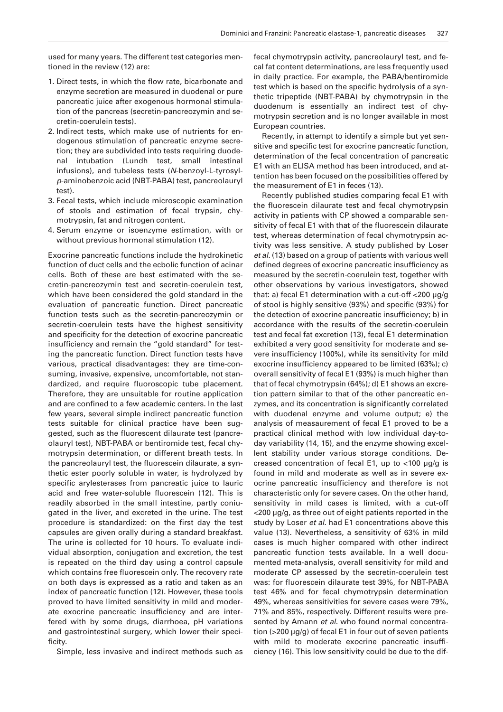used for many years. The different test categories mentioned in the review (12) are:

- 1. Direct tests, in which the flow rate, bicarbonate and enzyme secretion are measured in duodenal or pure pancreatic juice after exogenous hormonal stimulation of the pancreas (secretin-pancreozymin and secretin-coerulein tests).
- 2. Indirect tests, which make use of nutrients for endogenous stimulation of pancreatic enzyme secretion; they are subdivided into tests requiring duodenal intubation (Lundh test, small intestinal infusions), and tubeless tests (*N*-benzoyl-L-tyrosyl*p*-aminobenzoic acid (NBT-PABA) test, pancreolauryl test).
- 3. Fecal tests, which include microscopic examination of stools and estimation of fecal trypsin, chymotrypsin, fat and nitrogen content.
- 4. Serum enzyme or isoenzyme estimation, with or without previous hormonal stimulation (12).

Exocrine pancreatic functions include the hydrokinetic function of duct cells and the ecbolic function of acinar cells. Both of these are best estimated with the secretin-pancreozymin test and secretin-coerulein test, which have been considered the gold standard in the evaluation of pancreatic function. Direct pancreatic function tests such as the secretin-pancreozymin or secretin-coerulein tests have the highest sensitivity and specificity for the detection of exocrine pancreatic insufficiency and remain the "gold standard" for testing the pancreatic function. Direct function tests have various, practical disadvantages: they are time-consuming, invasive, expensive, uncomfortable, not standardized, and require fluoroscopic tube placement. Therefore, they are unsuitable for routine application and are confined to a few academic centers. In the last few years, several simple indirect pancreatic function tests suitable for clinical practice have been suggested, such as the fluorescent dilaurate test (pancreolauryl test), NBT-PABA or bentiromide test, fecal chymotrypsin determination, or different breath tests. In the pancreolauryl test, the fluorescein dilaurate, a synthetic ester poorly soluble in water, is hydrolyzed by specific arylesterases from pancreatic juice to lauric acid and free water-soluble fluorescein (12). This is readily absorbed in the small intestine, partly coniugated in the liver, and excreted in the urine. The test procedure is standardized: on the first day the test capsules are given orally during a standard breakfast. The urine is collected for 10 hours. To evaluate individual absorption, conjugation and excretion, the test is repeated on the third day using a control capsule which contains free fluorescein only. The recovery rate on both days is expressed as a ratio and taken as an index of pancreatic function (12). However, these tools proved to have limited sensitivity in mild and moderate exocrine pancreatic insufficiency and are interfered with by some drugs, diarrhoea, pH variations and gastrointestinal surgery, which lower their specificity.

Simple, less invasive and indirect methods such as

fecal chymotrypsin activity, pancreolauryl test, and fecal fat content determinations, are less frequently used in daily practice. For example, the PABA/bentiromide test which is based on the specific hydrolysis of a synthetic tripeptide (NBT-PABA) by chymotrypsin in the duodenum is essentially an indirect test of chymotrypsin secretion and is no longer available in most European countries.

Recently, in attempt to identify a simple but yet sensitive and specific test for exocrine pancreatic function, determination of the fecal concentration of pancreatic E1 with an ELISA method has been introduced, and attention has been focused on the possibilities offered by the measurement of E1 in feces (13).

Recently published studies comparing fecal E1 with the fluorescein dilaurate test and fecal chymotrypsin activity in patients with CP showed a comparable sensitivity of fecal E1 with that of the fluorescein dilaurate test, whereas determination of fecal chymotrypsin activity was less sensitive. A study published by Loser *et al.* (13) based on a group of patients with various well defined degrees of exocrine pancreatic insufficiency as measured by the secretin-coerulein test, together with other observations by various investigators, showed that: a) fecal E1 determination with a cut-off <200 µg/g of stool is highly sensitive (93%) and specific (93%) for the detection of exocrine pancreatic insufficiency; b) in accordance with the results of the secretin-coerulein test and fecal fat excretion (13), fecal E1 determination exhibited a very good sensitivity for moderate and severe insufficiency (100%), while its sensitivity for mild exocrine insufficiency appeared to be limited (63%); c) overall sensitivity of fecal E1 (93%) is much higher than that of fecal chymotrypsin (64%); d) E1 shows an excretion pattern similar to that of the other pancreatic enzymes, and its concentration is significantly correlated with duodenal enzyme and volume output; e) the analysis of measaurement of fecal E1 proved to be a practical clinical method with low individual day-today variability (14, 15), and the enzyme showing excellent stability under various storage conditions. Decreased concentration of fecal E1, up to <100 µg/g is found in mild and moderate as well as in severe exocrine pancreatic insufficiency and therefore is not characteristic only for severe cases. On the other hand, sensitivity in mild cases is limited, with a cut-off <200 µg/g, as three out of eight patients reported in the study by Loser *et al.* had E1 concentrations above this value (13). Nevertheless, a sensitivity of 63% in mild cases is much higher compared with other indirect pancreatic function tests available. In a well documented meta-analysis, overall sensitivity for mild and moderate CP assessed by the secretin-coerulein test was: for fluorescein dilaurate test 39%, for NBT-PABA test 46% and for fecal chymotrypsin determination 49%, whereas sensitivities for severe cases were 79%, 71% and 85%, respectively. Different results were presented by Amann *et al.* who found normal concentration (>200 µg/g) of fecal E1 in four out of seven patients with mild to moderate exocrine pancreatic insufficiency (16). This low sensitivity could be due to the dif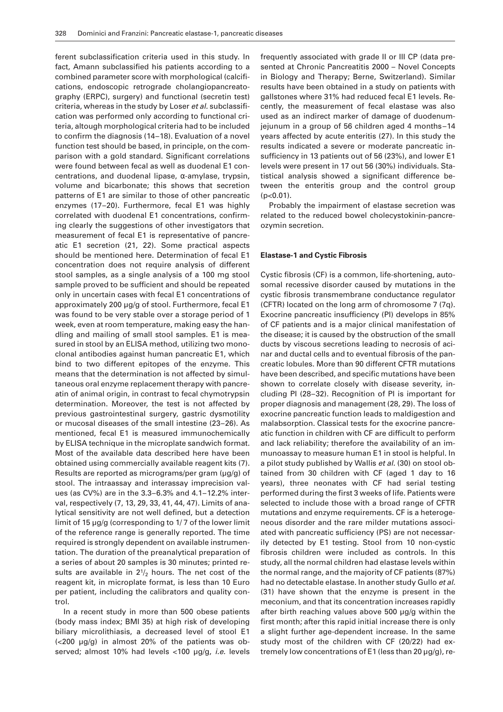ferent subclassification criteria used in this study. In fact, Amann subclassified his patients according to a combined parameter score with morphological (calcifications, endoscopic retrograde cholangiopancreatography (ERPC), surgery) and functional (secretin test) criteria, whereas in the study by Loser *et al.* subclassification was performed only according to functional criteria, altough morphological criteria had to be included to confirm the diagnosis (14–18). Evaluation of a novel function test should be based, in principle, on the comparison with a gold standard. Significant correlations were found between fecal as well as duodenal E1 concentrations, and duodenal lipase, α-amylase, trypsin, volume and bicarbonate; this shows that secretion patterns of E1 are similar to those of other pancreatic enzymes (17–20). Furthermore, fecal E1 was highly correlated with duodenal E1 concentrations, confirming clearly the suggestions of other investigators that measurement of fecal E1 is representative of pancreatic E1 secretion (21, 22). Some practical aspects should be mentioned here. Determination of fecal E1 concentration does not require analysis of different stool samples, as a single analysis of a 100 mg stool sample proved to be sufficient and should be repeated only in uncertain cases with fecal E1 concentrations of approximately 200 µg/g of stool. Furthermore, fecal E1 was found to be very stable over a storage period of 1 week, even at room temperature, making easy the handling and mailing of small stool samples. E1 is measured in stool by an ELISA method, utilizing two monoclonal antibodies against human pancreatic E1, which bind to two different epitopes of the enzyme. This means that the determination is not affected by simultaneous oral enzyme replacement therapy with pancreatin of animal origin, in contrast to fecal chymotrypsin determination. Moreover, the test is not affected by previous gastrointestinal surgery, gastric dysmotility or mucosal diseases of the small intestine (23–26). As mentioned, fecal E1 is measured immunochemically by ELISA technique in the microplate sandwich format. Most of the available data described here have been obtained using commercially available reagent kits (7). Results are reported as micrograms/per gram (µg/g) of stool. The intraassay and interassay imprecision values (as CV%) are in the 3.3–6.3% and 4.1–12.2% interval, respectively (7, 13, 29, 33, 41, 44, 47). Limits of analytical sensitivity are not well defined, but a detection limit of 15 µg/g (corresponding to 1/ 7 of the lower limit of the reference range is generally reported. The time required is strongly dependent on available instrumentation. The duration of the preanalytical preparation of a series of about 20 samples is 30 minutes; printed results are available in  $2\frac{1}{2}$  hours. The net cost of the reagent kit, in microplate format, is less than 10 Euro per patient, including the calibrators and quality control.

In a recent study in more than 500 obese patients (body mass index; BMI 35) at high risk of developing biliary microlithiasis, a decreased level of stool E1 (<200 µg/g) in almost 20% of the patients was observed; almost 10% had levels <100 µg/g, *i.e.* levels

frequently associated with grade II or III CP (data presented at Chronic Pancreatitis 2000 – Novel Concepts in Biology and Therapy; Berne, Switzerland). Similar results have been obtained in a study on patients with gallstones where 31% had reduced fecal E1 levels. Recently, the measurement of fecal elastase was also used as an indirect marker of damage of duodenumjejunum in a group of 56 children aged 4 months–14 years affected by acute enteritis (27). In this study the results indicated a severe or moderate pancreatic insufficiency in 13 patients out of 56 (23%), and lower E1 levels were present in 17 out 56 (30%) individuals. Statistical analysis showed a significant difference between the enteritis group and the control group  $(p<0.01)$ .

Probably the impairment of elastase secretion was related to the reduced bowel cholecystokinin-pancreozymin secretion.

#### **Elastase-1 and Cystic Fibrosis**

Cystic fibrosis (CF) is a common, life-shortening, autosomal recessive disorder caused by mutations in the cystic fibrosis transmembrane conductance regulator (CFTR) located on the long arm of chromosome 7 (7q). Exocrine pancreatic insufficiency (PI) develops in 85% of CF patients and is a major clinical manifestation of the disease; it is caused by the obstruction of the small ducts by viscous secretions leading to necrosis of acinar and ductal cells and to eventual fibrosis of the pancreatic lobules. More than 90 different CFTR mutations have been described, and specific mutations have been shown to correlate closely with disease severity, including PI (28–32). Recognition of PI is important for proper diagnosis and management (28, 29). The loss of exocrine pancreatic function leads to maldigestion and malabsorption. Classical tests for the exocrine pancreatic function in children with CF are difficult to perform and lack reliability; therefore the availability of an immunoassay to measure human E1 in stool is helpful. In a pilot study published by Wallis *et al.* (30) on stool obtained from 30 children with CF (aged 1 day to 16 years), three neonates with CF had serial testing performed during the first 3 weeks of life. Patients were selected to include those with a broad range of CFTR mutations and enzyme requirements. CF is a heterogeneous disorder and the rare milder mutations associated with pancreatic sufficiency (PS) are not necessarily detected by E1 testing. Stool from 10 non-cystic fibrosis children were included as controls. In this study, all the normal children had elastase levels within the normal range, and the majority of CF patients (87%) had no detectable elastase. In another study Gullo *et al.* (31) have shown that the enzyme is present in the meconium, and that its concentration increases rapidly after birth reaching values above 500 µg/g within the first month; after this rapid initial increase there is only a slight further age-dependent increase. In the same study most of the children with CF (20/22) had extremely low concentrations of E1 (less than 20 µg/g), re-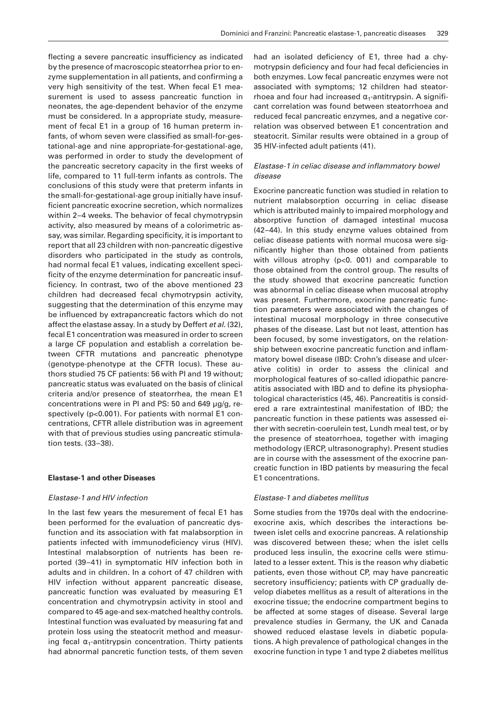flecting a severe pancreatic insufficiency as indicated by the presence of macroscopic steatorrhea prior to enzyme supplementation in all patients, and confirming a very high sensitivity of the test. When fecal E1 measurement is used to assess pancreatic function in neonates, the age-dependent behavior of the enzyme must be considered. In a appropriate study, measurement of fecal E1 in a group of 16 human preterm infants, of whom seven were classified as small-for-gestational-age and nine appropriate-for-gestational-age, was performed in order to study the development of the pancreatic secretory capacity in the first weeks of life, compared to 11 full-term infants as controls. The conclusions of this study were that preterm infants in the small-for-gestational-age group initially have insufficient pancreatic exocrine secretion, which normalizes within 2–4 weeks. The behavior of fecal chymotrypsin activity, also measured by means of a colorimetric assay, was similar. Regarding specificity, it is important to report that all 23 children with non-pancreatic digestive disorders who participated in the study as controls, had normal fecal E1 values, indicating excellent specificity of the enzyme determination for pancreatic insufficiency. In contrast, two of the above mentioned 23 children had decreased fecal chymotrypsin activity, suggesting that the determination of this enzyme may be influenced by extrapancreatic factors which do not affect the elastase assay. In a study by Deffert *et al.* (32), fecal E1 concentration was measured in order to screen a large CF population and establish a correlation between CFTR mutations and pancreatic phenotype (genotype-phenotype at the CFTR locus). These authors studied 75 CF patients: 56 with PI and 19 without; pancreatic status was evaluated on the basis of clinical criteria and/or presence of steatorrhea, the mean E1 concentrations were in PI and PS: 50 and 649 µg/g, respectively (p<0.001). For patients with normal E1 concentrations, CFTR allele distribution was in agreement with that of previous studies using pancreatic stimulation tests. (33–38).

#### **Elastase-1 and other Diseases**

## *Elastase-1 and HIV infection*

In the last few years the mesurement of fecal E1 has been performed for the evaluation of pancreatic dysfunction and its association with fat malabsorption in patients infected with immunodeficiency virus (HIV). Intestinal malabsorption of nutrients has been reported (39–41) in symptomatic HIV infection both in adults and in children. In a cohort of 47 children with HIV infection without apparent pancreatic disease, pancreatic function was evaluated by measuring E1 concentration and chymotrypsin activity in stool and compared to 45 age-and sex-matched healthy controls. Intestinal function was evaluated by measuring fat and protein loss using the steatocrit method and measuring fecal  $\alpha_1$ -antitrypsin concentration. Thirty patients had abnormal pancretic function tests, of them seven

had an isolated deficiency of E1, three had a chymotrypsin deficiency and four had fecal deficiencies in both enzymes. Low fecal pancreatic enzymes were not associated with symptoms; 12 children had steatorrhoea and four had increased  $\alpha_1$ -antitrypsin. A significant correlation was found between steatorrhoea and reduced fecal pancreatic enzymes, and a negative correlation was observed between E1 concentration and steatocrit. Similar results were obtained in a group of 35 HIV-infected adult patients (41).

# *Elastase-1 in celiac disease and inflammatory bowel disease*

Exocrine pancreatic function was studied in relation to nutrient malabsorption occurring in celiac disease which is attributed mainly to impaired morphology and absorptive function of damaged intestinal mucosa (42–44). In this study enzyme values obtained from celiac disease patients with normal mucosa were significantly higher than those obtained from patients with villous atrophy (p<0. 001) and comparable to those obtained from the control group. The results of the study showed that exocrine pancreatic function was abnormal in celiac disease when mucosal atrophy was present. Furthermore, exocrine pancreatic function parameters were associated with the changes of intestinal mucosal morphology in three consecutive phases of the disease. Last but not least, attention has been focused, by some investigators, on the relationship between exocrine pancreatic function and inflammatory bowel disease (IBD: Crohn's disease and ulcerative colitis) in order to assess the clinical and morphological features of so-called idiopathic pancreatitis associated with IBD and to define its physiophatological characteristics (45, 46). Pancreatitis is considered a rare extraintestinal manifestation of IBD; the pancreatic function in these patients was assessed either with secretin-coerulein test, Lundh meal test, or by the presence of steatorrhoea, together with imaging methodology (ERCP, ultrasonography). Present studies are in course with the assessment of the exocrine pancreatic function in IBD patients by measuring the fecal E1 concentrations.

## *Elastase-1 and diabetes mellitus*

Some studies from the 1970s deal with the endocrineexocrine axis, which describes the interactions between islet cells and exocrine pancreas. A relationship was discovered between these; when the islet cells produced less insulin, the exocrine cells were stimulated to a lesser extent. This is the reason why diabetic patients, even those without CP, may have pancreatic secretory insufficiency; patients with CP gradually develop diabetes mellitus as a result of alterations in the exocrine tissue; the endocrine compartment begins to be affected at some stages of disease. Several large prevalence studies in Germany, the UK and Canada showed reduced elastase levels in diabetic populations. A high prevalence of pathological changes in the exocrine function in type 1 and type 2 diabetes mellitus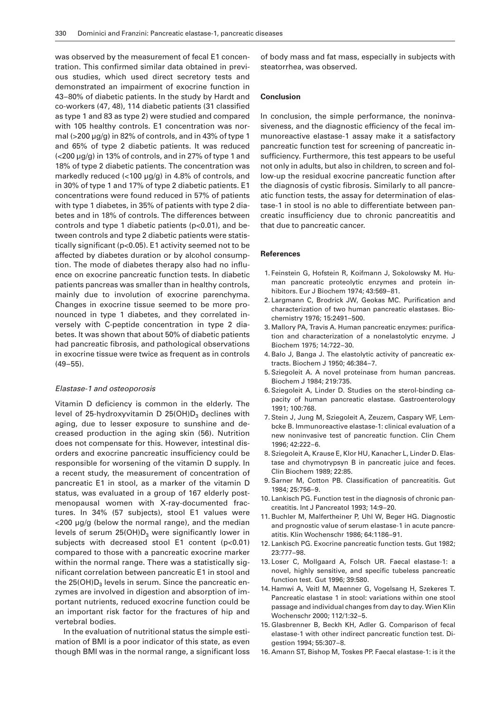was observed by the measurement of fecal E1 concentration. This confirmed similar data obtained in previous studies, which used direct secretory tests and demonstrated an impairment of exocrine function in 43–80% of diabetic patients. In the study by Hardt and co-workers (47, 48), 114 diabetic patients (31 classified as type 1 and 83 as type 2) were studied and compared with 105 healthy controls. E1 concentration was normal (>200 µg/g) in 82% of controls, and in 43% of type 1 and 65% of type 2 diabetic patients. It was reduced (<200 µg/g) in 13% of controls, and in 27% of type 1 and 18% of type 2 diabetic patients. The concentration was markedly reduced  $\langle$ <100  $\mu$ g/g) in 4.8% of controls, and in 30% of type 1 and 17% of type 2 diabetic patients. E1 concentrations were found reduced in 57% of patients with type 1 diabetes, in 35% of patients with type 2 diabetes and in 18% of controls. The differences between controls and type 1 diabetic patients (p<0.01), and between controls and type 2 diabetic patients were statistically significant (p<0.05). E1 activity seemed not to be affected by diabetes duration or by alcohol consumption. The mode of diabetes therapy also had no influence on exocrine pancreatic function tests. In diabetic patients pancreas was smaller than in healthy controls, mainly due to involution of exocrine parenchyma. Changes in exocrine tissue seemed to be more pronounced in type 1 diabetes, and they correlated inversely with C-peptide concentration in type 2 diabetes. It was shown that about 50% of diabetic patients had pancreatic fibrosis, and pathological observations in exocrine tissue were twice as frequent as in controls (49–55).

#### *Elastase-1 and osteoporosis*

Vitamin D deficiency is common in the elderly. The level of 25-hydroxyvitamin D 25(OH) $D_3$  declines with aging, due to lesser exposure to sunshine and decreased production in the aging skin (56). Nutrition does not compensate for this. However, intestinal disorders and exocrine pancreatic insufficiency could be responsible for worsening of the vitamin D supply. In a recent study, the measurement of concentration of pancreatic E1 in stool, as a marker of the vitamin D status, was evaluated in a group of 167 elderly postmenopausal women with X-ray-documented fractures. In 34% (57 subjects), stool E1 values were <200 µg/g (below the normal range), and the median levels of serum  $25(OH)D<sub>3</sub>$  were significantly lower in subjects with decreased stool E1 content (p<0.01) compared to those with a pancreatic exocrine marker within the normal range. There was a statistically significant correlation between pancreatic E1 in stool and the  $25(OH)D<sub>3</sub>$  levels in serum. Since the pancreatic enzymes are involved in digestion and absorption of important nutrients, reduced exocrine function could be an important risk factor for the fractures of hip and vertebral bodies.

In the evaluation of nutritional status the simple estimation of BMI is a poor indicator of this state, as even though BMI was in the normal range, a significant loss

of body mass and fat mass, especially in subjects with steatorrhea, was observed.

#### **Conclusion**

In conclusion, the simple performance, the noninvasiveness, and the diagnostic efficiency of the fecal immunoreactive elastase-1 assay make it a satisfactory pancreatic function test for screening of pancreatic insufficiency. Furthermore, this test appears to be useful not only in adults, but also in children, to screen and follow-up the residual exocrine pancreatic function after the diagnosis of cystic fibrosis. Similarly to all pancreatic function tests, the assay for determination of elastase-1 in stool is no able to differentiate between pancreatic insufficiency due to chronic pancreatitis and that due to pancreatic cancer.

## **References**

- 1. Feinstein G, Hofstein R, Koifmann J, Sokolowsky M. Human pancreatic proteolytic enzymes and protein inhibitors. Eur J Biochem 1974; 43:569–81.
- 2. Largmann C, Brodrick JW, Geokas MC. Purification and characterization of two human pancreatic elastases. Biochemistry 1976; 15:2491–500.
- 3. Mallory PA, Travis A. Human pancreatic enzymes: purification and characterization of a nonelastolytic enzyme. J Biochem 1975; 14:722–30.
- 4. Balo J, Banga J. The elastolytic activity of pancreatic extracts. Biochem J 1950; 46:384–7.
- 5. Sziegoleit A. A novel proteinase from human pancreas. Biochem J 1984; 219:735.
- 6. Sziegoleit A, Linder D. Studies on the sterol-binding capacity of human pancreatic elastase. Gastroenterology 1991; 100:768.
- 7. Stein J, Jung M, Sziegoleit A, Zeuzem, Caspary WF, Lembcke B. Immunoreactive elastase-1: clinical evaluation of a new noninvasive test of pancreatic function. Clin Chem  $1996: 42:222-6$
- 8. Sziegoleit A, Krause E, Klor HU, Kanacher L, Linder D. Elastase and chymotrypsyn B in pancreatic juice and feces. Clin Biochem 1989; 22:85.
- 9. Sarner M, Cotton PB. Classification of pancreatitis. Gut 1984; 25:756–9.
- 10. Lankisch PG. Function test in the diagnosis of chronic pancreatitis. Int J Pancreatol 1993; 14:9–20.
- 11. Buchler M, Malfertheiner P, Uhl W, Beger HG. Diagnostic and prognostic value of serum elastase-1 in acute pancreatitis. Klin Wochenschr 1986; 64:1186–91.
- 12. Lankisch PG. Exocrine pancreatic function tests. Gut 1982; 23:777–98.
- 13. Loser C, Mollgaard A, Folsch UR. Faecal elastase-1: a novel, highly sensitive, and specific tubeless pancreatic function test. Gut 1996; 39:580.
- 14. Hamwi A, Veitl M, Maenner G, Vogelsang H, Szekeres T. Pancreatic elastase 1 in stool: variations within one stool passage and individual changes from day to day. Wien Klin Wochenschr 2000; 112/1:32–5.
- 15. Glasbrenner B, Beckh KH, Adler G. Comparison of fecal elastase-1 with other indirect pancreatic function test. Digestion 1994; 55:307–8.
- 16. Amann ST, Bishop M, Toskes PP. Faecal elastase-1: is it the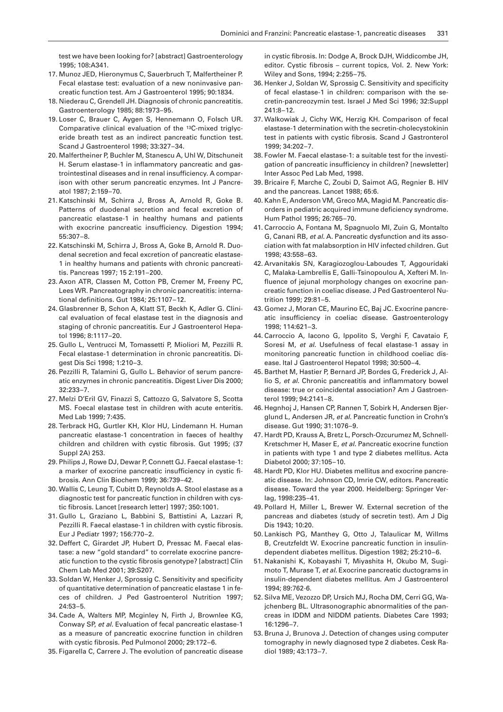test we have been looking for? [abstract] Gastroenterology 1995; 108:A341.

- 17. Munoz JED, Hieronymus C, Sauerbruch T, Malfertheiner P. Fecal elastase test: evaluation of a new noninvasive pancreatic function test. Am J Gastroenterol 1995; 90:1834.
- 18. Niederau C, Grendell JH. Diagnosis of chronic pancreatitis. Gastroenterology 1985; 88:1973–95.
- 19. Loser C, Brauer C, Aygen S, Hennemann O, Folsch UR. Comparative clinical evaluation of the 13C-mixed triglyceride breath test as an indirect pancreatic function test. Scand J Gastroenterol 1998; 33:327–34.
- 20. Malfertheiner P, Buchler M, Stanescu A, Uhl W, Ditschuneit H. Serum elastase-1 in inflammatory pancreatic and gastrointestinal diseases and in renal insufficiency. A comparison with other serum pancreatic enzymes. Int J Pancreatol 1987; 2:159–70.
- 21. Katschinski M, Schirra J, Bross A, Arnold R, Goke B. Patterns of duodenal secretion and fecal excretion of pancreatic elastase-1 in healthy humans and patients with exocrine pancreatic insufficiency. Digestion 1994; 55:307–8.
- 22. Katschinski M, Schirra J, Bross A, Goke B, Arnold R. Duodenal secretion and fecal excretion of pancreatic elastase-1 in healthy humans and patients with chronic pancreatitis. Pancreas 1997; 15 2:191–200.
- 23. Axon ATR, Classen M, Cotton PB, Cremer M, Freeny PC, Lees WR. Pancreatography in chronic pancreatitis: international definitions. Gut 1984; 25:1107–12.
- 24. Glasbrenner B, Schon A, Klatt ST, Beckh K, Adler G. Clinical evaluation of fecal elastase test in the diagnosis and staging of chronic pancreatitis. Eur J Gastroenterol Hepatol 1996; 8:1117–20.
- 25. Gullo L, Ventrucci M, Tomassetti P, Mioliori M, Pezzilli R. Fecal elastase-1 determination in chronic pancreatitis. Digest Dis Sci 1998; 1:210–3.
- 26. Pezzilli R, Talamini G, Gullo L. Behavior of serum pancreatic enzymes in chronic pancreatitis. Digest Liver Dis 2000; 32:233–7.
- 27. Melzi D'Eril GV, Finazzi S, Cattozzo G, Salvatore S, Scotta MS. Foecal elastase test in children with acute enteritis. Med Lab 1999; 7:435.
- 28. Terbrack HG, Gurtler KH, Klor HU, Lindemann H. Human pancreatic elastase-1 concentration in faeces of healthy children and children with cystic fibrosis. Gut 1995; (37 Suppl 2A) 253.
- 29. Philips J, Rowe DJ, Dewar P, Connett GJ. Faecal elastase-1: a marker of exocrine pancreatic insufficiency in cystic fibrosis. Ann Clin Biochem 1999; 36:739–42.
- 30. Wallis C, Leung T, Cubitt D, Reynolds A. Stool elastase as a diagnostic test for pancreatic function in children with cystic fibrosis. Lancet [research letter] 1997; 350:1001.
- 31. Gullo L, Graziano L, Babbini S, Battistini A, Lazzari R, Pezzilli R. Faecal elastase-1 in children with cystic fibrosis. Eur J Pediatr 1997; 156:770–2.
- 32. Deffert C, Girardet JP, Hubert D, Pressac M. Faecal elastase: a new "gold standard" to correlate exocrine pancreatic function to the cystic fibrosis genotype? [abstract] Clin Chem Lab Med 2001; 39:S207.
- 33. Soldan W, Henker J, Sprossig C. Sensitivity and specificity of quantitative determination of pancreatic elastase 1 in feces of children. J Ped Gastroenterol Nutrition 1997; 24:53–5.
- 34. Cade A, Walters MP, Mcginley N, Firth J, Brownlee KG, Conway SP, *et al.* Evaluation of fecal pancreatic elastase-1 as a measure of pancreatic exocrine function in children with cystic fibrosis. Ped Pulmonol 2000; 29:172–6.
- 35. Figarella C, Carrere J. The evolution of pancreatic disease

in cystic fibrosis. In: Dodge A, Brock DJH, Widdicombe JH, editor. Cystic fibrosis – current topics, Vol. 2. New York: Wiley and Sons, 1994; 2:255–75.

- 36. Henker J, Soldan W, Sprossig C. Sensitivity and specificity of fecal elastase-1 in children: comparison with the secretin-pancreozymin test. Israel J Med Sci 1996; 32:Suppl 241:8–12.
- 37. Walkowiak J, Cichy WK, Herzig KH. Comparison of fecal elastase-1 determination with the secretin-cholecystokinin test in patients with cystic fibrosis. Scand J Gastronterol 1999; 34:202–7.
- 38. Fowler M. Faecal elastase-1: a suitable test for the investigation of pancreatic insufficiency in children? [newsletter] Inter Assoc Ped Lab Med, 1998.
- 39. Bricaire F, Marche C, Zoubi D, Saimot AG, Regnier B. HIV and the pancreas. Lancet 1988; 65:6.
- 40. Kahn E, Anderson VM, Greco MA, Magid M. Pancreatic disorders in pediatric acquired immune deficiency syndrome. Hum Pathol 1995; 26:765–70.
- 41. Carroccio A, Fontana M, Spagnuolo MI, Zuin G, Montalto G, Canani RB, *et al.* A. Pancreatic dysfunction and its association with fat malabsorption in HIV infected children. Gut 1998; 43:558–63.
- 42. Arvanitakis SN, Karagiozoglou-Laboudes T, Aggouridaki C, Malaka-Lambrellis E, Galli-Tsinopoulou A, Xefteri M. Influence of jejunal morphology changes on exocrine pancreatic function in coeliac disease. J Ped Gastroenterol Nutrition 1999; 29:81–5.
- 43. Gomez J, Moran CE, Maurino EC, Baj JC. Exocrine pancreatic insufficiency in coeliac disease. Gastroenterology 1998; 114:621–3.
- 44. Carroccio A, Iacono G, Ippolito S, Verghi F, Cavataio F, Soresi M, *et al.* Usefulness of fecal elastase-1 assay in monitoring pancreatic function in childhood coeliac disease. Ital J Gastroenterol Hepatol 1998; 30:500–4.
- 45. Barthet M, Hastier P, Bernard JP, Bordes G, Frederick J, Allio S, *et al.* Chronic pancreatitis and inflammatory bowel disease: true or coincidental association? Am J Gastroenterol 1999; 94:2141–8.
- 46. Hegnhoj J, Hansen CP, Rannen T, Sobirk H, Andersen Bjerglund L, Andersen JR, *et al.* Pancreatic function in Crohn's disease. Gut 1990; 31:1076–9.
- 47. Hardt PD, Krauss A, Bretz L, Porsch-Ozcurumez M, Schnell-Kretschmer H, Maser E, *et al.* Pancreatic exocrine function in patients with type 1 and type 2 diabetes mellitus. Acta Diabetol 2000; 37:105–10.
- 48. Hardt PD, Klor HU. Diabetes mellitus and exocrine pancreatic disease. In: Johnson CD, Imrie CW, editors. Pancreatic disease. Toward the year 2000. Heidelberg: Springer Verlag, 1998:235–41.
- 49. Pollard H, Miller L, Brewer W. External secretion of the pancreas and diabetes (study of secretin test). Am J Dig Dis  $1943 \cdot 10 \cdot 20$ .
- 50. Lankisch PG, Manthey G, Otto J, Talaulicar M, Willms B, Creutzfeldt W. Exocrine pancreatic function in insulindependent diabetes mellitus. Digestion 1982; 25:210–6.
- 51. Nakanishi K, Kobayashi T, Miyashita H, Okubo M, Sugimoto T, Murase T, *et al.* Exocrine pancreatic ductograms in insulin-dependent diabetes mellitus. Am J Gastroenterol 1994; 89:762-6.
- 52. Silva ME, Vezozzo DP, Ursich MJ, Rocha DM, Cerri GG, Wajchenberg BL. Ultrasonographic abnormalities of the pancreas in IDDM and NIDDM patients. Diabetes Care 1993; 16:1296–7.
- 53. Bruna J, Brunova J. Detection of changes using computer tomography in newly diagnosed type 2 diabetes. Cesk Radiol 1989; 43:173–7.